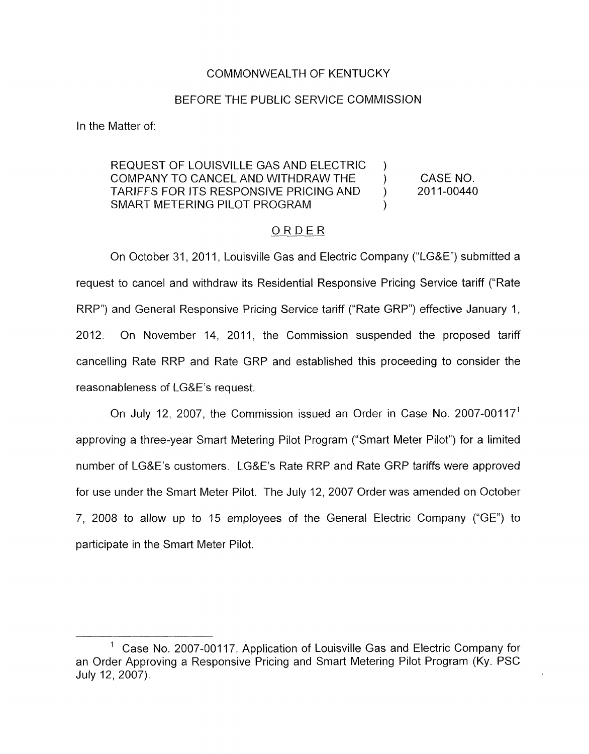# COMMONWEALTH OF KENTUCKY

## BEFORE THE PUBLIC SERVICE COMMISSION

In the Matter of:

#### REQUEST OF LOUISVILLE GAS AND ELECTRIC COMPANY TO CANCEL AND WITHDRAW THE  $\overline{ }$  (CASE NO.<br>TARIFFS FOR ITS RESPONSIVE PRICING AND ) 2011-00440 TARIFFS FOR ITS RESPONSIVE PRICING AND ) SMART METERING PILOT PROGRAM ) )

# ORDER

On October 31, 2011, Louisville Gas and Electric Company ("LG&E") submitted a request to cancel and withdraw its Residential Responsive Pricing Service tariff ("Rate RRP") and General Responsive Pricing Service tariff ("Rate GRP") effective January 1 , 2012. On November 14, 2011, the Commission suspended the proposed tariff cancelling Rate RRP and Rate GRP and established this proceeding to consider the reasonableness of LG&E's request.

On July 12, 2007, the Commission issued an Order in Case No. 2007-00117<sup>1</sup> approving a three-year Smart Metering Pilot Program ("Smart Meter Pilot") for a limited number of LG&E's customers. L.G&E's Rate RRP and Rate GRP tariffs were approved for use under the Smart Meter Pilot. The July 12, 2007 Order was amended on October 7, 2008 to allow up to 15 employees of the General Electric Company ("GE") to participate in the Smart Meter Pilot.

Case No. 2007-00117, Application of Louisville Gas and Electric Company for an Order Approving a Responsive Pricing and Smart Metering Pilot Program (Ky. PSC July 12, 2007).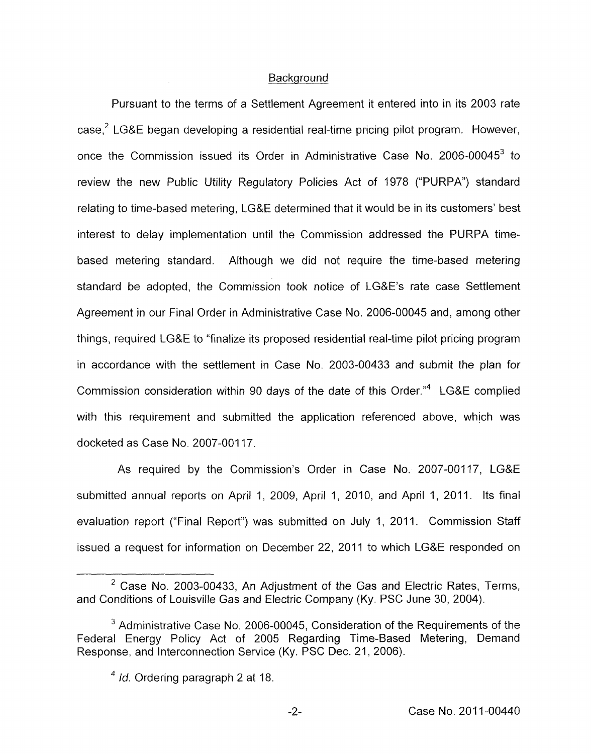## **Background**

Pursuant to the terms of a Settlement Agreement it entered into in its 2003 rate  $case<sup>2</sup>$  LG&E began developing a residential real-time pricing pilot program. However, once the Commission issued its Order in Administrative Case No. 2006-00045<sup>3</sup> to review the new Public Utility Regulatory Policies Act of 1978 ("PURPA") standard relating to time-based metering, LG&E determined that it would be in its customers' best interest to delay implementation until the Commission addressed the PURPA timebased metering standard. Although we did not require the time-based metering standard be adopted, the Commission took notice of LG&E's rate case Settlement Agreement in our Final Order in Administrative Case No. 2006-00045 and, among other things, required LG&E to "finalize its proposed residential real-time pilot pricing program in accordance with the settlement in Case No. 2003-00433 and submit the plan for Commission consideration within 90 days of the date of this Order."4 LG&E complied with this requirement and submitted the application referenced above, which was docketed as Case No. 2007-00117.

As required by the Commission's Order in Case No. 2007-00117, LG&E submitted annual reports on April 1, 2009, April 1, 2010, and April 1, 2011. Its final evaluation report ("Final Report") was submitted on July I, 2011. Commission Staff issued a request for information on December 22, 2011 to which LG&E responded on

 $2$  Case No. 2003-00433, An Adjustment of the Gas and Electric Rates, Terms, and Conditions of Louisville Gas and Electric Company (Ky. PSC June 30, 2004).

 $3$  Administrative Case No. 2006-00045, Consideration of the Requirements of the Federal Energy Policy Act of 2005 Regarding Time-Based Metering, Demand Response, and Interconnection Service (Ky. PSC Dec. 21 , 2006).

<sup>&</sup>lt;sup>4</sup> *Id.* Ordering paragraph 2 at 18.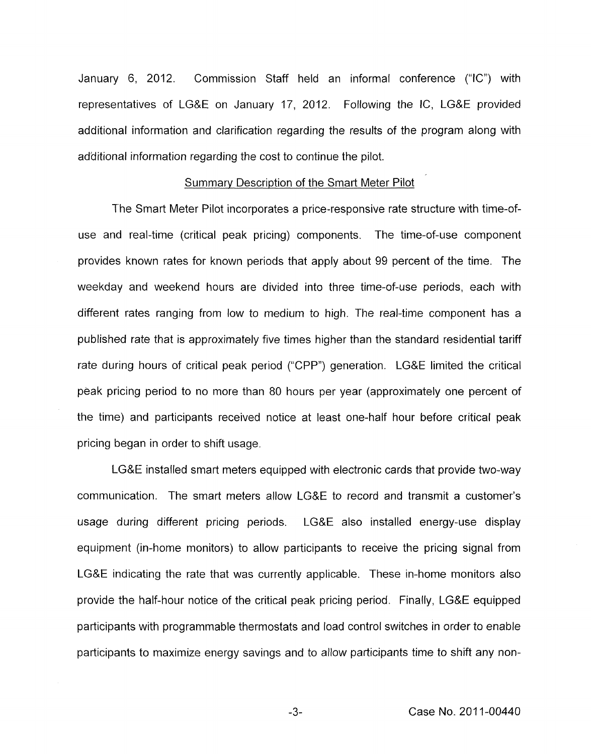January 6, 2012. Commission Staff held an informal conference ("IC") with representatives of LGQE on January 17, 2012. Following the IC, LG&E provided additional information and clarification regarding the results of the program along with ad'ditional information regarding the cost to continue the pilot.

#### Summary Description of the Smart Meter Pilot

The Smart Meter Pilot incorporates a price-responsive rate structure with time-ofuse and real-time (critical peak pricing) components. The time-of-use component provides known rates for known periods that apply about 99 percent of the time. The weekday and weekend hours are divided into three time-of-use periods, each with different rates ranging from low to medium to high. The real-time component has a published rate that is approximately five times higher than the standard residential tariff rate during hours of critical peak period ('CPP") generation. LG&E limited the critical peak pricing period to no more than 80 hours per year (approximately one percent of the time) and participants received notice at least one-half hour before critical peak pricing began in order to shift usage.

LG&E installed smart meters equipped with electronic cards that provide two-way communication. The smart meters allow LG&E to record and transmit a customer's usage during different pricing periods. LG&E also installed energy-use display equipment (in-home monitors) to allow participants to receive the pricing signal from LG&E indicating the rate that was currently applicable. These in-home monitors also provide the half-hour notice of the critical peak pricing period. Finally, LG&E equipped participants with programmable thermostats and load control switches in order to enable participants to maximize energy savings and to allow participants time to shift any non-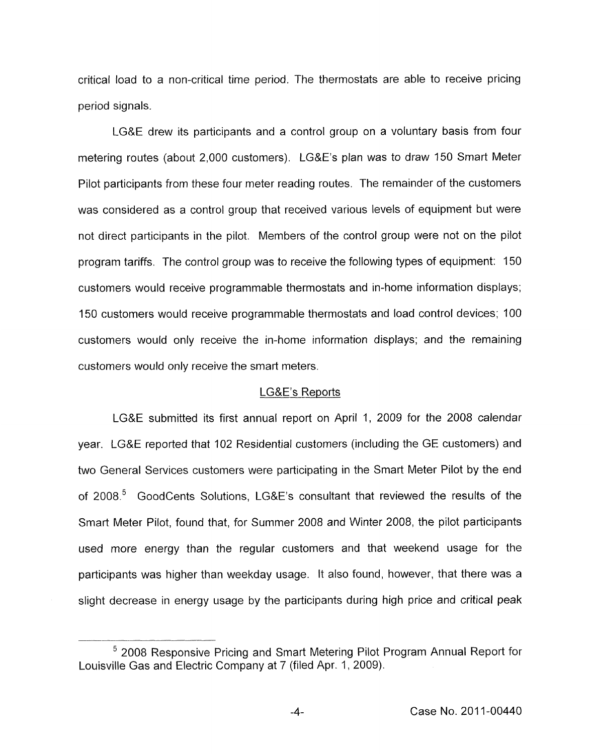critical load to a nan-critical time period. The thermostats are able to receive pricing period signals.

LGRE drew its participants and a control group on a voluntary basis from four metering routes (about 2,000 customers). LG&E's plan was to draw 150 Smart Meter Pilot participants from these four meter reading routes. The remainder of the customers was considered as a control group that received various levels of equipment but were not direct participants in the pilot. Members of the control group were not on the pilot program tariffs. The control group was to receive the following types of equipment: 150 customers would receive programmable thermostats and in-home information displays; 150 customers would receive programmable thermostats and load control devices; 100 customers would only receive the in-home information displays; and the remaining customers would only receive the smart meters.

#### LG&E's Reports

LG&E submitted its first annual report on April 1, 2009 for the 2008 calendar year. LGRE reported that 102 Residential customers (including the GE customers) and two General Services customers were participating in the Smart Meter Pilot by the end of 2008.<sup>5</sup> GoodCents Solutions, LG&E's consultant that reviewed the results of the Smart Meter Pilot, found that, for Summer 2008 and Winter 2008, the pilot participants used more energy than the regular customers and that weekend usage for the participants was higher than weekday usage. It also found, however, that there was a slight decrease in energy usage by the participants during high price and critical peak

<sup>2008</sup> Responsive Pricing and Smart Metering Pilot Program Annual Report for Louisville Gas and Electric Company at 7 (filed Apr. 1, 2009).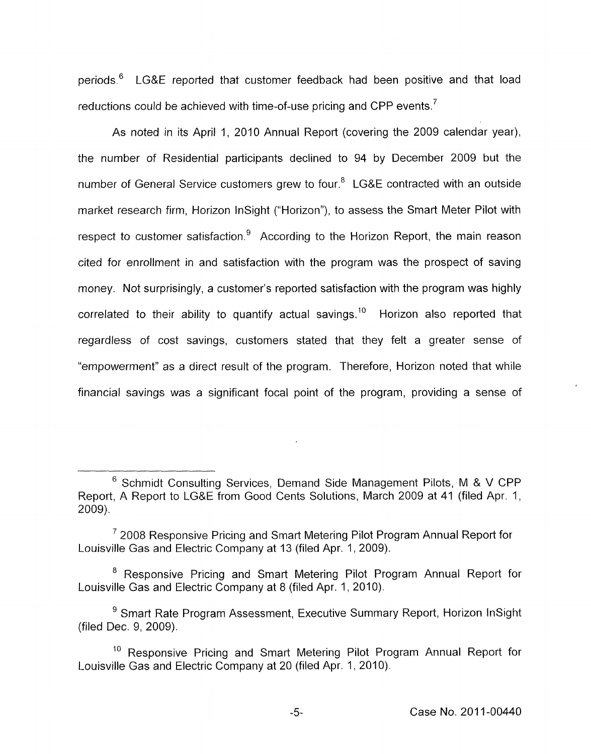periods.<sup>6</sup> LG&E reported that customer feedback had been positive and that load reductions could be achieved with time-of-use pricing and CPP events.<sup>7</sup>

As noted in its April 1, 2010 Annual Report (covering the 2009 calendar year), the number of Residential participants declined to 94 by December 2009 but the number of General Service customers grew to four.<sup>8</sup> LG&E contracted with an outside market research firm, Horizon InSight ("Horizon"), to assess the Smart Meter Pilot with respect to customer satisfaction. $9$  According to the Horizon Report, the main reason cited for enrollment in and satisfaction with the program was the prospect of saving money. Not surprisingly, a customer's reported satisfaction with the program was highly correlated to their ability to quantify actual savings.<sup>10</sup> Horizon also reported that regardless of cost savings, customers stated that they felt a greater sense of "empowerment" as a direct result of the program. Therefore, Horizon noted that while financial savings was a significant focal point of the program, providing a sense of

<sup>&</sup>lt;sup>6</sup> Schmidt Consulting Services, Demand Side Management Pilots, M & V CPP Report, A Report to LG&E from Good Cents Solutions, March 2009 at 41 (filed Apr. 1, 2009).

 $7$  2008 Responsive Pricing and Smart Metering Pilot Program Annual Report for Louisville Gas and Electric Company at 13 (filed Apr. 1, 2009).

<sup>&</sup>lt;sup>8</sup> Responsive Pricing and Smart Metering Pilot Program Annual Report for Louisville Gas and Electric Company at 8 (filed Apr. 1, 2010).

<sup>&</sup>lt;sup>9</sup> Smart Rate Program Assessment, Executive Summary Report, Horizon InSight (filed Dec. 9, 2009).

 $10$  Responsive Pricing and Smart Metering Pilot Program Annual Report for Louisville Gas and Electric Company at 20 (filed Apr. 1, 2010).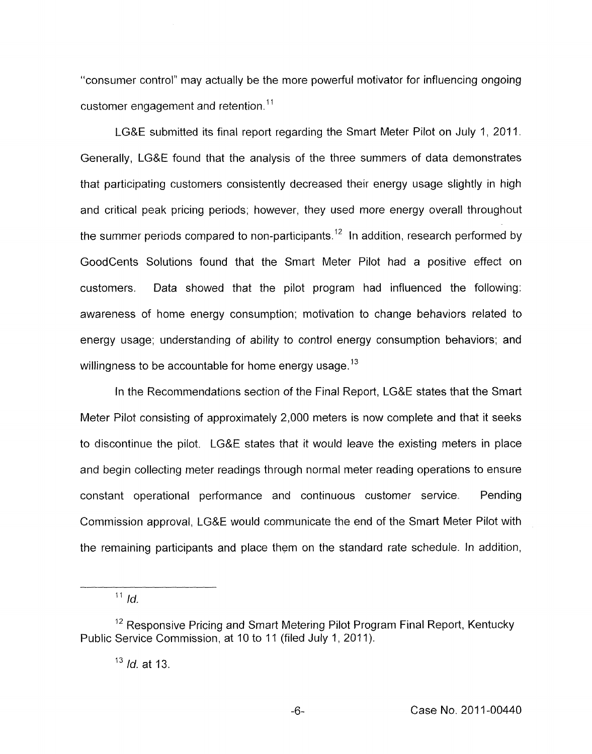"consumer control'' may actually be the more powerful motivator for influencing ongoing customer engagement and retention.<sup>11</sup>

LG&E submitted its final report regarding the Smart Meter Pilot on July 1, 2011. Generally, LG&E found that the analysis of the three summers of data demonstrates that participating customers consistently decreased their energy usage slightly in high and critical peak pricing periods; however, they used more energy overall throughout the summer periods compared to non-participants.<sup>12</sup> In addition, research performed by Goodcents Solutions found that the Smart Meter Pilot had a positive effect on customers. Data showed that the pilot program had influenced the following: awareness of home energy consumption; motivation to change behaviors related to energy usage; understanding *of* ability to control energy consumption behaviors; and willingness to be accountable for home energy usage. **l3** 

In the Recommendations section of the Final Report, LG&E states that the Smart Meter Pilot consisting of approximately 2,000 meters is now complete and that it seeks to discontinue the pilot. LG&E states that it would leave the existing meters in place and begin collecting meter readings through normal meter reading operations to ensure constant operational performance and continuous customer service. Pending Commission approval, LG&E would communicate the end of the Smart Meter Pilot with the remaining participants and place them on the standard rate schedule. In addition,

 $11$  *Id.* 

<sup>&</sup>lt;sup>12</sup> Responsive Pricing and Smart Metering Pilot Program Final Report, Kentucky Public Service Commission, at 10 to 11 (filed July 1, 2011).

l3 *Id.* at 13.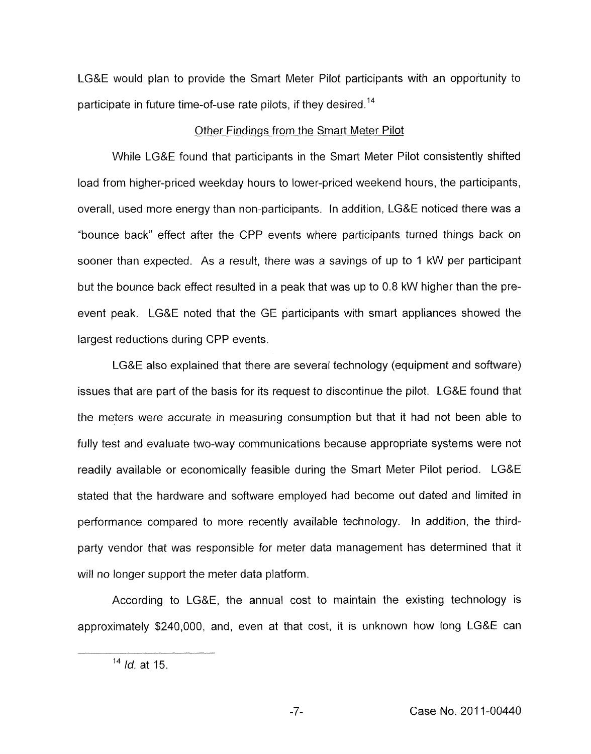LG&E would plan to provide the Smart Meter Pilot participants with an opportunity to participate in future time-of-use rate pilots, if they desired.<sup>14</sup>

## Other Findings from the Smart Meter Pilot

While LG&E found that participants in the Smart Meter Pilot consistently shifted load from higher-priced weekday hours to lower-priced weekend hours, the participants, overall, used more energy than non-participants. In addition, LG&E noticed there was a "bounce back" effect after the CPP events where participants turned things back on sooner than expected. As a result, there was a savings of up to 1 kW per participant but the bounce back effect resulted in a peak that was up to 0.8 kW higher than the preevent peak. LG&E noted that the GE participants with smart appliances showed the largest reductions during CPP events.

LG&E also explained that there are several technology (equipment and software) issues that are part of the basis for its request to discontinue the pilot. LG&E found that the meters were accurate in measuring consumption but that it had not been able to fully test and evaluate two-way communications because appropriate systems were not readily available or economically feasible during the Smart Meter Pilot period. LG&E stated that the hardware and software employed had become out dated and limited in performance compared to more recently available technology. In addition, the thirdparty vendor that was responsible for meter data management has determined that it will no longer support the meter data platform.

According to LG&E, the annual cost to maintain the existing technology is approximately \$240,000, and, even at that cost, it is unknown how long LG&E can

**l4** *Id.* at 15.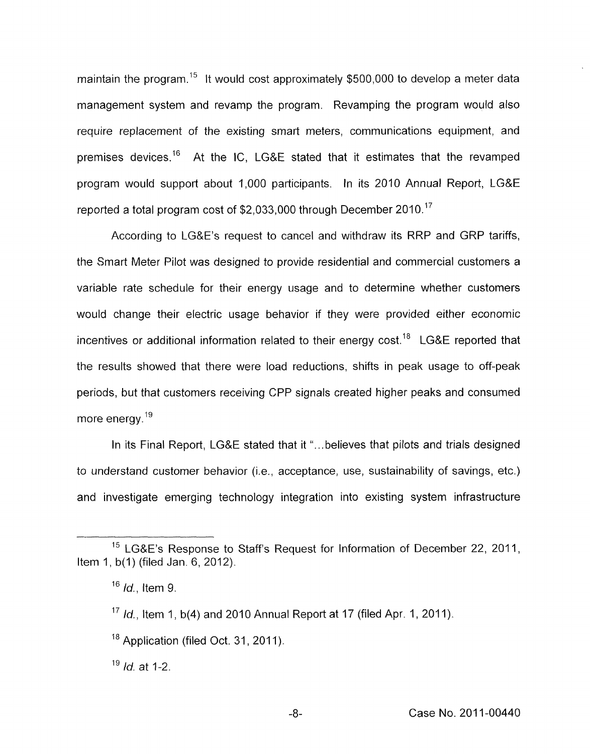maintain the program.<sup>15</sup> It would cost approximately \$500,000 to develop a meter data management system and revamp the program. Revamping the program would also require replacement of the existing smart meters, communications equipment, and premises devices.<sup>16</sup> At the IC, LG&E stated that it estimates that the revamped program would support about 1,000 participants. In its 2010 Annual Report, LG&E reported a total program cost of \$2,033,000 through December 201Q.'7

According to LG&E's request to cancel and withdraw its RRP and GRP tariffs, the Smart Meter Pilot was designed *to* provide residential and commercial customers a variable rate schedule for their energy usage and to determine whether customers would change their electric usage behavior if they were provided either economic incentives or additional information related to their energy cost.<sup>18</sup> LG&E reported that the results showed that there were load reductions, shifts in peak usage to off-peak periods, but that customers receiving CPP signals created higher peaks and consumed more energy. $19$ 

In its Final Report, LG&E stated that it "...believes that pilots and trials designed to understand customer behavior (i.e., acceptance, use, sustainability of savings, etc.) and investigate emerging technology integration into existing system infrastructure

<sup>&</sup>lt;sup>15</sup> LG&E's Response to Staff's Request for Information of December 22, 2011, Item 1, b(1) (filed Jan. 6, 2012).

 $16$  *Id.*, Item 9.

<sup>&</sup>lt;sup>17</sup>  $Id.$ , Item 1, b(4) and 2010 Annual Report at 17 (filed Apr. 1, 2011).

 $18$  Application (filed Oct. 31, 2011).

<sup>&#</sup>x27;' *Id.* at 1-2.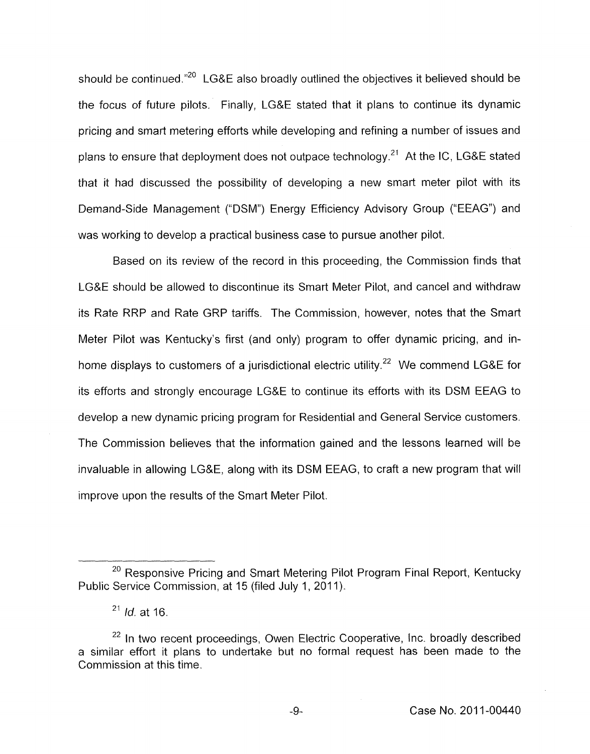should be continued."<sup>20</sup> LG&E also broadly outlined the objectives it believed should be the focus of future pilots. Finally, LG&E stated that it plans to continue its dynamic pricing and smart metering efforts while developing and refining a number of issues and plans to ensure that deployment does not outpace technology.<sup>21</sup> At the IC, LG&E stated that it had discussed the possibility of developing a new smart meter pilot with its Demand-Side Management ("DSM") Energy Efficiency Advisory Group ("EEAG") and was working to develop a practical business case to pursue another pilot.

Based on its review of the record in this proceeding, the Commission finds that LG&E should be allowed to discontinue its Smart Meter Pilot, and cancel and withdraw its Rate RRP and Rate GRP tariffs. The Commission, however, notes that the Smart Meter Pilot was Kentucky's first (and only) program to offer dynamic pricing, and inhome displays to customers of a jurisdictional electric utility.<sup>22</sup> We commend LG&E for its efforts and strongly encourage LG&E to continue its efforts with its DSM EEAG to develop a new dynamic pricing program for Residential and General Service customers. The Commission believes that the information gained and the lessons learned will be invaluable in allowing LG&E, along with its DSM EEAG, to craft a new program that will improve upon the results of the Smart Meter Pilot.

<sup>&</sup>lt;sup>20</sup> Responsive Pricing and Smart Metering Pilot Program Final Report, Kentucky Public Service Commission, at 15 (filed July 1, 2011).

<sup>21</sup>*Id.* at 16.

<sup>&</sup>lt;sup>22</sup> In two recent proceedings, Owen Electric Cooperative, Inc. broadly described a similar effort it plans to undertake but no formal request has been made to the Commission at this time.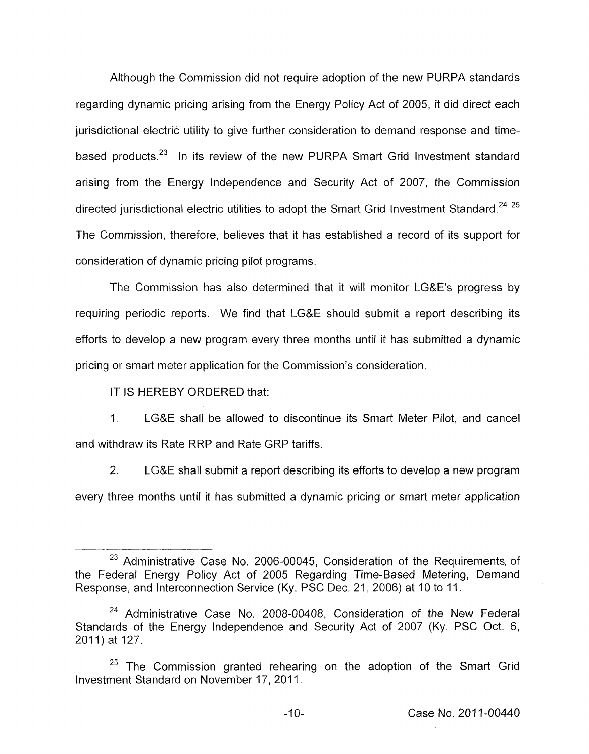Although the Commission did not require adoption of the new PURPA standards regarding dynamic pricing arising from the Energy Policy Act of 2005, it did direct each jurisdictional electric utility to give further consideration to demand response and timebased products.<sup>23</sup> In its review of the new PURPA Smart Grid Investment standard arising from the Energy Independence and Security Act of 2007, the Commission directed jurisdictional electric utilities to adopt the Smart Grid Investment Standard. $^{24\,\,25}$ The Commission, therefore, believes that it has established a record of its support for consideration of dynamic pricing pilot programs.

The Commission has also determined that it will monitor LG&E's progress by requiring periodic reports. We find that LG&E should submit a report describing its efforts to develop a new program every three months until it has submitted a dynamic pricing or smart meter application for the Commission's consideration.

IT IS HEREBY ORDERED that:

1. LG&E shall be allowed to discontinue its Smart Meter Pilot, and cancel and withdraw its Rate RRP and Rate GRP tariffs.

2. LG&E shall submit a report describing its efforts to develop a new program every three months until it has submitted a dynamic pricing or smart meter application

*<sup>23</sup>*Administrative Case No. 2006-00045, Consideration of the Requirements, of the Federal Energy Policy Act of 2005 Regarding Time-Based Metering, Demand Response, and Interconnection Service (Ky. PSC Dec. 21 , 2006) at 10 to 11.

<sup>&</sup>lt;sup>24</sup> Administrative Case No. 2008-00408, Consideration of the New Federal Standards of the Energy Independence and Security Act of 2007 (Ky. PSC Oct. 6, 2011) at 127.

 $25$  The Commission granted rehearing on the adoption of the Smart Grid Investment Standard on November 17, 2011.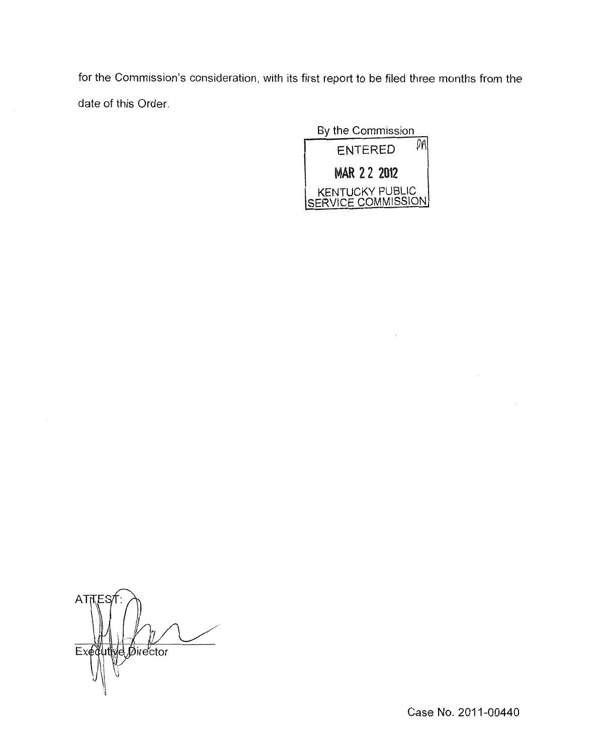for the Commission's consideration, with its first report to be filed three months from the date of this Order.



 $AT$ Exequive Director

Case No. 2011-00440